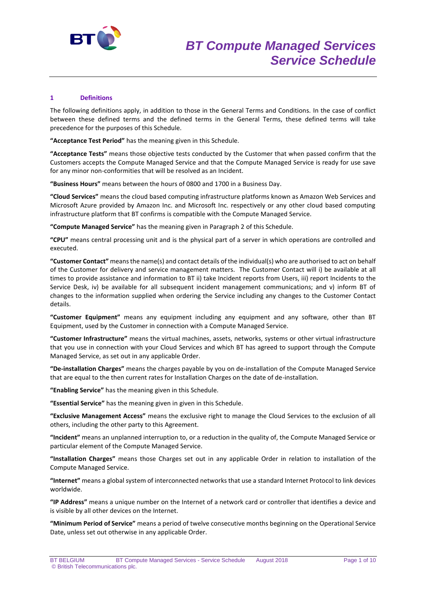

## **1 Definitions**

The following definitions apply, in addition to those in the General Terms and Conditions. In the case of conflict between these defined terms and the defined terms in the General Terms, these defined terms will take precedence for the purposes of this Schedule.

**"Acceptance Test Period"** has the meaning given in this Schedule.

**"Acceptance Tests"** means those objective tests conducted by the Customer that when passed confirm that the Customers accepts the Compute Managed Service and that the Compute Managed Service is ready for use save for any minor non-conformities that will be resolved as an Incident.

**"Business Hours"** means between the hours of 0800 and 1700 in a Business Day.

**"Cloud Services"** means the cloud based computing infrastructure platforms known as Amazon Web Services and Microsoft Azure provided by Amazon Inc. and Microsoft Inc. respectively or any other cloud based computing infrastructure platform that BT confirms is compatible with the Compute Managed Service.

**"Compute Managed Service"** has the meaning given in Paragraph 2 of this Schedule.

**"CPU"** means central processing unit and is the physical part of a server in which operations are controlled and executed.

**"Customer Contact"** means the name(s) and contact details of the individual(s) who are authorised to act on behalf of the Customer for delivery and service management matters. The Customer Contact will i) be available at all times to provide assistance and information to BT ii) take Incident reports from Users, iii) report Incidents to the Service Desk, iv) be available for all subsequent incident management communications; and v) inform BT of changes to the information supplied when ordering the Service including any changes to the Customer Contact details.

**"Customer Equipment"** means any equipment including any equipment and any software, other than BT Equipment, used by the Customer in connection with a Compute Managed Service.

**"Customer Infrastructure"** means the virtual machines, assets, networks, systems or other virtual infrastructure that you use in connection with your Cloud Services and which BT has agreed to support through the Compute Managed Service, as set out in any applicable Order.

**"De-installation Charges"** means the charges payable by you on de-installation of the Compute Managed Service that are equal to the then current rates for Installation Charges on the date of de-installation.

**"Enabling Service"** has the meaning given in this Schedule.

**"Essential Service"** has the meaning given in given in this Schedule.

**"Exclusive Management Access"** means the exclusive right to manage the Cloud Services to the exclusion of all others, including the other party to this Agreement.

**"Incident"** means an unplanned interruption to, or a reduction in the quality of, the Compute Managed Service or particular element of the Compute Managed Service.

**"Installation Charges"** means those Charges set out in any applicable Order in relation to installation of the Compute Managed Service.

**"Internet"** means a global system of interconnected networks that use a standard Internet Protocol to link devices worldwide.

**"IP Address"** means a unique number on the Internet of a network card or controller that identifies a device and is visible by all other devices on the Internet.

**"Minimum Period of Service"** means a period of twelve consecutive months beginning on the Operational Service Date, unless set out otherwise in any applicable Order.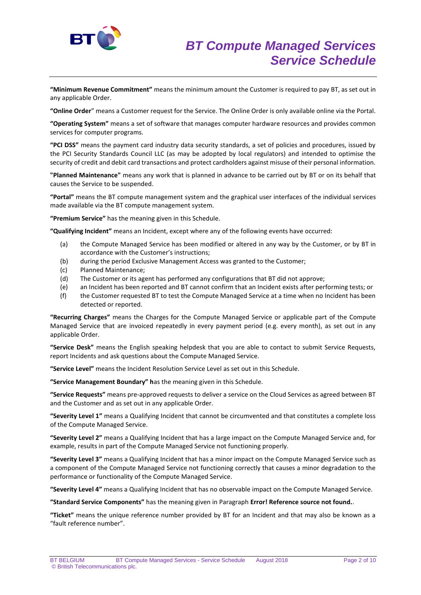

**"Minimum Revenue Commitment"** means the minimum amount the Customer is required to pay BT, as set out in any applicable Order.

**"Online Order**" means a Customer request for the Service. The Online Order is only available online via the Portal.

**"Operating System"** means a set of software that manages computer hardware resources and provides common services for computer programs.

**"PCI DSS"** means the payment card industry data security standards, a set of policies and procedures, issued by the PCI Security Standards Council LLC (as may be adopted by local regulators) and intended to optimise the security of credit and debit card transactions and protect cardholders against misuse of their personal information.

**"Planned Maintenance"** means any work that is planned in advance to be carried out by BT or on its behalf that causes the Service to be suspended.

**"Portal"** means the BT compute management system and the graphical user interfaces of the individual services made available via the BT compute management system.

**"Premium Service"** has the meaning given in this Schedule.

**"Qualifying Incident"** means an Incident, except where any of the following events have occurred:

- (a) the Compute Managed Service has been modified or altered in any way by the Customer, or by BT in accordance with the Customer's instructions;
- (b) during the period Exclusive Management Access was granted to the Customer;
- (c) Planned Maintenance;
- (d) The Customer or its agent has performed any configurations that BT did not approve;
- (e) an Incident has been reported and BT cannot confirm that an Incident exists after performing tests; or
- (f) the Customer requested BT to test the Compute Managed Service at a time when no Incident has been detected or reported.

**"Recurring Charges"** means the Charges for the Compute Managed Service or applicable part of the Compute Managed Service that are invoiced repeatedly in every payment period (e.g. every month), as set out in any applicable Order.

**"Service Desk"** means the English speaking helpdesk that you are able to contact to submit Service Requests, report Incidents and ask questions about the Compute Managed Service.

**"Service Level"** means the Incident Resolution Service Level as set out in this Schedule.

**"Service Management Boundary" h**as the meaning given in this Schedule.

**"Service Requests"** means pre-approved requests to deliver a service on the Cloud Services as agreed between BT and the Customer and as set out in any applicable Order.

**"Severity Level 1"** means a Qualifying Incident that cannot be circumvented and that constitutes a complete loss of the Compute Managed Service.

**"Severity Level 2"** means a Qualifying Incident that has a large impact on the Compute Managed Service and, for example, results in part of the Compute Managed Service not functioning properly.

**"Severity Level 3"** means a Qualifying Incident that has a minor impact on the Compute Managed Service such as a component of the Compute Managed Service not functioning correctly that causes a minor degradation to the performance or functionality of the Compute Managed Service.

**"Severity Level 4"** means a Qualifying Incident that has no observable impact on the Compute Managed Service.

**"Standard Service Components"** has the meaning given in Paragraph **Error! Reference source not found.**.

**"Ticket"** means the unique reference number provided by BT for an Incident and that may also be known as a "fault reference number".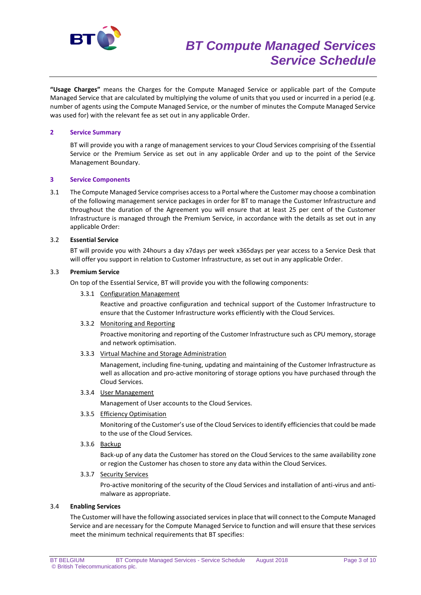

**"Usage Charges"** means the Charges for the Compute Managed Service or applicable part of the Compute Managed Service that are calculated by multiplying the volume of units that you used or incurred in a period (e.g. number of agents using the Compute Managed Service, or the number of minutes the Compute Managed Service was used for) with the relevant fee as set out in any applicable Order.

## **2 Service Summary**

BT will provide you with a range of management services to your Cloud Services comprising of the Essential Service or the Premium Service as set out in any applicable Order and up to the point of the Service Management Boundary.

## **3 Service Components**

3.1 The Compute Managed Service comprises access to a Portal where the Customer may choose a combination of the following management service packages in order for BT to manage the Customer Infrastructure and throughout the duration of the Agreement you will ensure that at least 25 per cent of the Customer Infrastructure is managed through the Premium Service, in accordance with the details as set out in any applicable Order:

#### 3.2 **Essential Service**

BT will provide you with 24hours a day x7days per week x365days per year access to a Service Desk that will offer you support in relation to Customer Infrastructure, as set out in any applicable Order.

## 3.3 **Premium Service**

On top of the Essential Service, BT will provide you with the following components:

#### 3.3.1 Configuration Management

Reactive and proactive configuration and technical support of the Customer Infrastructure to ensure that the Customer Infrastructure works efficiently with the Cloud Services.

#### 3.3.2 Monitoring and Reporting

Proactive monitoring and reporting of the Customer Infrastructure such as CPU memory, storage and network optimisation.

3.3.3 Virtual Machine and Storage Administration

Management, including fine-tuning, updating and maintaining of the Customer Infrastructure as well as allocation and pro-active monitoring of storage options you have purchased through the Cloud Services.

3.3.4 User Management

Management of User accounts to the Cloud Services.

3.3.5 Efficiency Optimisation

Monitoring of the Customer's use of the Cloud Services to identify efficiencies that could be made to the use of the Cloud Services.

3.3.6 Backup

Back-up of any data the Customer has stored on the Cloud Services to the same availability zone or region the Customer has chosen to store any data within the Cloud Services.

## 3.3.7 Security Services

Pro-active monitoring of the security of the Cloud Services and installation of anti-virus and antimalware as appropriate.

# 3.4 **Enabling Services**

The Customer will have the following associated services in place that will connect to the Compute Managed Service and are necessary for the Compute Managed Service to function and will ensure that these services meet the minimum technical requirements that BT specifies: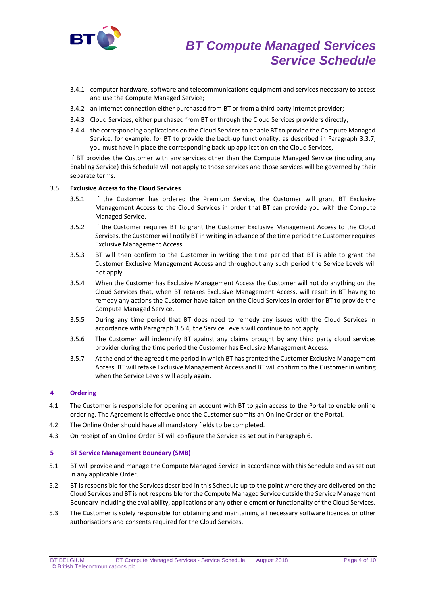

- 3.4.1 computer hardware, software and telecommunications equipment and services necessary to access and use the Compute Managed Service;
- 3.4.2 an Internet connection either purchased from BT or from a third party internet provider;
- 3.4.3 Cloud Services, either purchased from BT or through the Cloud Services providers directly;
- 3.4.4 the corresponding applications on the Cloud Services to enable BT to provide the Compute Managed Service, for example, for BT to provide the back-up functionality, as described in Paragraph 3.3.7, you must have in place the corresponding back-up application on the Cloud Services,

If BT provides the Customer with any services other than the Compute Managed Service (including any Enabling Service) this Schedule will not apply to those services and those services will be governed by their separate terms.

## 3.5 **Exclusive Access to the Cloud Services**

- 3.5.1 If the Customer has ordered the Premium Service, the Customer will grant BT Exclusive Management Access to the Cloud Services in order that BT can provide you with the Compute Managed Service.
- 3.5.2 If the Customer requires BT to grant the Customer Exclusive Management Access to the Cloud Services, the Customer will notify BT in writing in advance of the time period the Customer requires Exclusive Management Access.
- 3.5.3 BT will then confirm to the Customer in writing the time period that BT is able to grant the Customer Exclusive Management Access and throughout any such period the Service Levels will not apply.
- 3.5.4 When the Customer has Exclusive Management Access the Customer will not do anything on the Cloud Services that, when BT retakes Exclusive Management Access, will result in BT having to remedy any actions the Customer have taken on the Cloud Services in order for BT to provide the Compute Managed Service.
- 3.5.5 During any time period that BT does need to remedy any issues with the Cloud Services in accordance with Paragraph 3.5.4, the Service Levels will continue to not apply.
- 3.5.6 The Customer will indemnify BT against any claims brought by any third party cloud services provider during the time period the Customer has Exclusive Management Access.
- 3.5.7 At the end of the agreed time period in which BT has granted the Customer Exclusive Management Access, BT will retake Exclusive Management Access and BT will confirm to the Customer in writing when the Service Levels will apply again.

#### **4 Ordering**

- 4.1 The Customer is responsible for opening an account with BT to gain access to the Portal to enable online ordering. The Agreement is effective once the Customer submits an Online Order on the Portal.
- 4.2 The Online Order should have all mandatory fields to be completed.
- 4.3 On receipt of an Online Order BT will configure the Service as set out in Paragraph 6.

#### **5 BT Service Management Boundary (SMB)**

- 5.1 BT will provide and manage the Compute Managed Service in accordance with this Schedule and as set out in any applicable Order.
- 5.2 BT is responsible for the Services described in this Schedule up to the point where they are delivered on the Cloud Services and BT is not responsible for the Compute Managed Service outside the Service Management Boundary including the availability, applications or any other element or functionality of the Cloud Services.
- 5.3 The Customer is solely responsible for obtaining and maintaining all necessary software licences or other authorisations and consents required for the Cloud Services.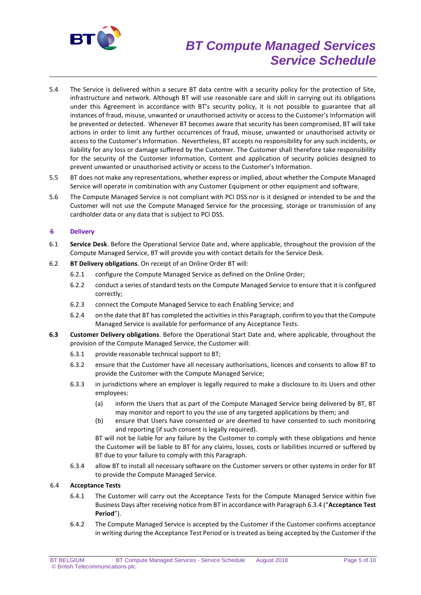

# *BT Compute Managed Services Service Schedule*

- 5.4 The Service is delivered within a secure BT data centre with a security policy for the protection of Site, infrastructure and network. Although BT will use reasonable care and skill in carrying out its obligations under this Agreement in accordance with BT's security policy, it is not possible to guarantee that all instances of fraud, misuse, unwanted or unauthorised activity or access to the Customer's Information will be prevented or detected. Whenever BT becomes aware that security has been compromised, BT will take actions in order to limit any further occurrences of fraud, misuse, unwanted or unauthorised activity or access to the Customer's Information. Nevertheless, BT accepts no responsibility for any such incidents, or liability for any loss or damage suffered by the Customer. The Customer shall therefore take responsibility for the security of the Customer Information, Content and application of security policies designed to prevent unwanted or unauthorised activity or access to the Customer's Information.
- 5.5 BT does not make any representations, whether express or implied, about whether the Compute Managed Service will operate in combination with any Customer Equipment or other equipment and software.
- 5.6 The Compute Managed Service is not compliant with PCI DSS nor is it designed or intended to be and the Customer will not use the Compute Managed Service for the processing, storage or transmission of any cardholder data or any data that is subject to PCI DSS.

## **6 Delivery**

- 6.1 **Service Desk**. Before the Operational Service Date and, where applicable, throughout the provision of the Compute Managed Service, BT will provide you with contact details for the Service Desk.
- 6.2 **BT Delivery obligations**. On receipt of an Online Order BT will:
	- 6.2.1 configure the Compute Managed Service as defined on the Online Order;
	- 6.2.2 conduct a series of standard tests on the Compute Managed Service to ensure that it is configured correctly;
	- 6.2.3 connect the Compute Managed Service to each Enabling Service; and
	- 6.2.4 on the date that BT has completed the activities in this Paragraph, confirm to you that the Compute Managed Service is available for performance of any Acceptance Tests.
- **6.3 Customer Delivery obligations**. Before the Operational Start Date and, where applicable, throughout the provision of the Compute Managed Service, the Customer will:
	- 6.3.1 provide reasonable technical support to BT;
	- 6.3.2 ensure that the Customer have all necessary authorisations, licences and consents to allow BT to provide the Customer with the Compute Managed Service;
	- 6.3.3 in jurisdictions where an employer is legally required to make a disclosure to its Users and other employees:
		- (a) inform the Users that as part of the Compute Managed Service being delivered by BT, BT may monitor and report to you the use of any targeted applications by them; and
		- (b) ensure that Users have consented or are deemed to have consented to such monitoring and reporting (if such consent is legally required).

BT will not be liable for any failure by the Customer to comply with these obligations and hence the Customer will be liable to BT for any claims, losses, costs or liabilities incurred or suffered by BT due to your failure to comply with this Paragraph.

6.3.4 allow BT to install all necessary software on the Customer servers or other systems in order for BT to provide the Compute Managed Service.

## 6.4 **Acceptance Tests**

- 6.4.1 The Customer will carry out the Acceptance Tests for the Compute Managed Service within five Business Days after receiving notice from BT in accordance with Paragraph 6.3.4 ("**Acceptance Test Period**").
- 6.4.2 The Compute Managed Service is accepted by the Customer if the Customer confirms acceptance in writing during the Acceptance Test Period or is treated as being accepted by the Customer if the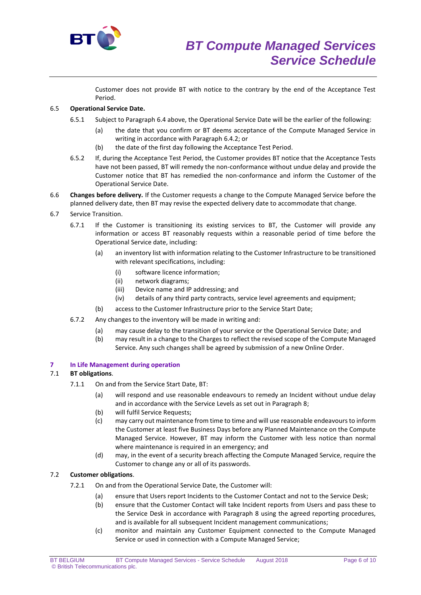

Customer does not provide BT with notice to the contrary by the end of the Acceptance Test Period.

# 6.5 **Operational Service Date.**

- 6.5.1 Subject to Paragraph 6.4 above, the Operational Service Date will be the earlier of the following:
	- (a) the date that you confirm or BT deems acceptance of the Compute Managed Service in writing in accordance with Paragraph 6.4.2; or
	- (b) the date of the first day following the Acceptance Test Period.
- 6.5.2 If, during the Acceptance Test Period, the Customer provides BT notice that the Acceptance Tests have not been passed, BT will remedy the non-conformance without undue delay and provide the Customer notice that BT has remedied the non-conformance and inform the Customer of the Operational Service Date.
- 6.6 **Changes before delivery.** If the Customer requests a change to the Compute Managed Service before the planned delivery date, then BT may revise the expected delivery date to accommodate that change.
- 6.7 Service Transition.
	- 6.7.1 If the Customer is transitioning its existing services to BT, the Customer will provide any information or access BT reasonably requests within a reasonable period of time before the Operational Service date, including:
		- (a) an inventory list with information relating to the Customer Infrastructure to be transitioned with relevant specifications, including:
			- (i) software licence information;
			- (ii) network diagrams;
			- (iii) Device name and IP addressing; and
			- (iv) details of any third party contracts, service level agreements and equipment;
		- (b) access to the Customer Infrastructure prior to the Service Start Date;
	- 6.7.2 Any changes to the inventory will be made in writing and:
		- (a) may cause delay to the transition of your service or the Operational Service Date; and
		- (b) may result in a change to the Charges to reflect the revised scope of the Compute Managed Service. Any such changes shall be agreed by submission of a new Online Order.

## **7 In Life Management during operation**

## 7.1 **BT obligations**.

- 7.1.1 On and from the Service Start Date, BT:
	- (a) will respond and use reasonable endeavours to remedy an Incident without undue delay and in accordance with the Service Levels as set out in Paragraph 8;
	- (b) will fulfil Service Requests;
	- (c) may carry out maintenance from time to time and will use reasonable endeavours to inform the Customer at least five Business Days before any Planned Maintenance on the Compute Managed Service. However, BT may inform the Customer with less notice than normal where maintenance is required in an emergency; and
	- (d) may, in the event of a security breach affecting the Compute Managed Service, require the Customer to change any or all of its passwords.

# 7.2 **Customer obligations**.

- 7.2.1 On and from the Operational Service Date, the Customer will:
	- (a) ensure that Users report Incidents to the Customer Contact and not to the Service Desk;
	- (b) ensure that the Customer Contact will take Incident reports from Users and pass these to the Service Desk in accordance with Paragraph 8 using the agreed reporting procedures, and is available for all subsequent Incident management communications;
	- (c) monitor and maintain any Customer Equipment connected to the Compute Managed Service or used in connection with a Compute Managed Service;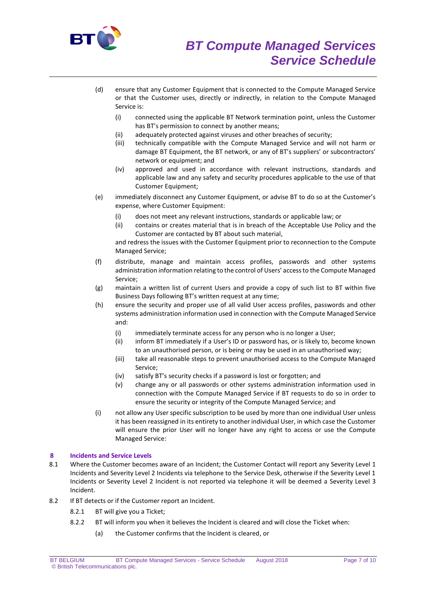

- (d) ensure that any Customer Equipment that is connected to the Compute Managed Service or that the Customer uses, directly or indirectly, in relation to the Compute Managed Service is:
	- (i) connected using the applicable BT Network termination point, unless the Customer has BT's permission to connect by another means;
	- (ii) adequately protected against viruses and other breaches of security;
	- (iii) technically compatible with the Compute Managed Service and will not harm or damage BT Equipment, the BT network, or any of BT's suppliers' or subcontractors' network or equipment; and
	- (iv) approved and used in accordance with relevant instructions, standards and applicable law and any safety and security procedures applicable to the use of that Customer Equipment;
- (e) immediately disconnect any Customer Equipment, or advise BT to do so at the Customer's expense, where Customer Equipment:
	- (i) does not meet any relevant instructions, standards or applicable law; or
	- (ii) contains or creates material that is in breach of the Acceptable Use Policy and the Customer are contacted by BT about such material,

and redress the issues with the Customer Equipment prior to reconnection to the Compute Managed Service;

- (f) distribute, manage and maintain access profiles, passwords and other systems administration information relating to the control of Users' access to the Compute Managed Service;
- (g) maintain a written list of current Users and provide a copy of such list to BT within five Business Days following BT's written request at any time;
- (h) ensure the security and proper use of all valid User access profiles, passwords and other systems administration information used in connection with the Compute Managed Service and:
	- (i) immediately terminate access for any person who is no longer a User;
	- (ii) inform BT immediately if a User's ID or password has, or is likely to, become known to an unauthorised person, or is being or may be used in an unauthorised way;
	- (iii) take all reasonable steps to prevent unauthorised access to the Compute Managed Service;
	- (iv) satisfy BT's security checks if a password is lost or forgotten; and
	- (v) change any or all passwords or other systems administration information used in connection with the Compute Managed Service if BT requests to do so in order to ensure the security or integrity of the Compute Managed Service; and
- (i) not allow any User specific subscription to be used by more than one individual User unless it has been reassigned in its entirety to another individual User, in which case the Customer will ensure the prior User will no longer have any right to access or use the Compute Managed Service:

# **8 Incidents and Service Levels**

- 8.1 Where the Customer becomes aware of an Incident; the Customer Contact will report any Severity Level 1 Incidents and Severity Level 2 Incidents via telephone to the Service Desk, otherwise if the Severity Level 1 Incidents or Severity Level 2 Incident is not reported via telephone it will be deemed a Severity Level 3 Incident.
- 8.2 If BT detects or if the Customer report an Incident.
	- 8.2.1 BT will give you a Ticket;
	- 8.2.2 BT will inform you when it believes the Incident is cleared and will close the Ticket when:
		- (a) the Customer confirms that the Incident is cleared, or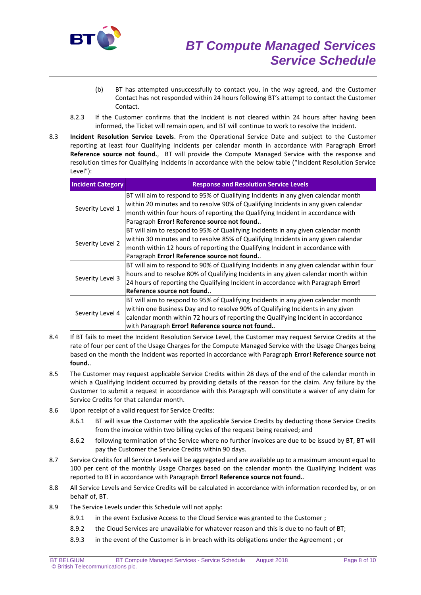

- (b) BT has attempted unsuccessfully to contact you, in the way agreed, and the Customer Contact has not responded within 24 hours following BT's attempt to contact the Customer Contact.
- 8.2.3 If the Customer confirms that the Incident is not cleared within 24 hours after having been informed, the Ticket will remain open, and BT will continue to work to resolve the Incident.
- 8.3 **Incident Resolution Service Levels**. From the Operational Service Date and subject to the Customer reporting at least four Qualifying Incidents per calendar month in accordance with Paragraph **Error! Reference source not found.**, BT will provide the Compute Managed Service with the response and resolution times for Qualifying Incidents in accordance with the below table ("Incident Resolution Service Level"):

| <b>Incident Category</b> | <b>Response and Resolution Service Levels</b>                                           |
|--------------------------|-----------------------------------------------------------------------------------------|
| Severity Level 1         | BT will aim to respond to 95% of Qualifying Incidents in any given calendar month       |
|                          | within 20 minutes and to resolve 90% of Qualifying Incidents in any given calendar      |
|                          | month within four hours of reporting the Qualifying Incident in accordance with         |
|                          | Paragraph Error! Reference source not found                                             |
| Severity Level 2         | BT will aim to respond to 95% of Qualifying Incidents in any given calendar month       |
|                          | within 30 minutes and to resolve 85% of Qualifying Incidents in any given calendar      |
|                          | month within 12 hours of reporting the Qualifying Incident in accordance with           |
|                          | Paragraph Error! Reference source not found                                             |
| Severity Level 3         | BT will aim to respond to 90% of Qualifying Incidents in any given calendar within four |
|                          | hours and to resolve 80% of Qualifying Incidents in any given calendar month within     |
|                          | 24 hours of reporting the Qualifying Incident in accordance with Paragraph Error!       |
|                          | Reference source not found.                                                             |
| Severity Level 4         | BT will aim to respond to 95% of Qualifying Incidents in any given calendar month       |
|                          | within one Business Day and to resolve 90% of Qualifying Incidents in any given         |
|                          | calendar month within 72 hours of reporting the Qualifying Incident in accordance       |
|                          | with Paragraph Error! Reference source not found                                        |

- 8.4 If BT fails to meet the Incident Resolution Service Level, the Customer may request Service Credits at the rate of four per cent of the Usage Charges for the Compute Managed Service with the Usage Charges being based on the month the Incident was reported in accordance with Paragraph **Error! Reference source not found.**.
- 8.5 The Customer may request applicable Service Credits within 28 days of the end of the calendar month in which a Qualifying Incident occurred by providing details of the reason for the claim. Any failure by the Customer to submit a request in accordance with this Paragraph will constitute a waiver of any claim for Service Credits for that calendar month.
- 8.6 Upon receipt of a valid request for Service Credits:
	- 8.6.1 BT will issue the Customer with the applicable Service Credits by deducting those Service Credits from the invoice within two billing cycles of the request being received; and
	- 8.6.2 following termination of the Service where no further invoices are due to be issued by BT, BT will pay the Customer the Service Credits within 90 days.
- 8.7 Service Credits for all Service Levels will be aggregated and are available up to a maximum amount equal to 100 per cent of the monthly Usage Charges based on the calendar month the Qualifying Incident was reported to BT in accordance with Paragraph **Error! Reference source not found.**.
- 8.8 All Service Levels and Service Credits will be calculated in accordance with information recorded by, or on behalf of, BT.
- 8.9 The Service Levels under this Schedule will not apply:
	- 8.9.1 in the event Exclusive Access to the Cloud Service was granted to the Customer ;
	- 8.9.2 the Cloud Services are unavailable for whatever reason and this is due to no fault of BT;
	- 8.9.3 in the event of the Customer is in breach with its obligations under the Agreement ; or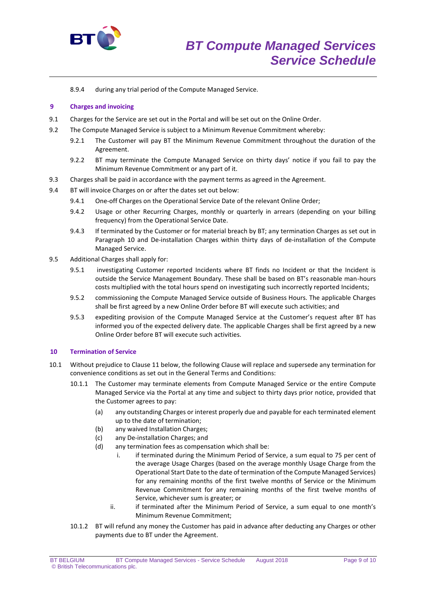

8.9.4 during any trial period of the Compute Managed Service.

## **9 Charges and invoicing**

- 9.1 Charges for the Service are set out in the Portal and will be set out on the Online Order.
- 9.2 The Compute Managed Service is subject to a Minimum Revenue Commitment whereby:
	- 9.2.1 The Customer will pay BT the Minimum Revenue Commitment throughout the duration of the Agreement.
	- 9.2.2 BT may terminate the Compute Managed Service on thirty days' notice if you fail to pay the Minimum Revenue Commitment or any part of it.
- 9.3 Charges shall be paid in accordance with the payment terms as agreed in the Agreement.
- 9.4 BT will invoice Charges on or after the dates set out below:
	- 9.4.1 One-off Charges on the Operational Service Date of the relevant Online Order;
	- 9.4.2 Usage or other Recurring Charges, monthly or quarterly in arrears (depending on your billing frequency) from the Operational Service Date.
	- 9.4.3 If terminated by the Customer or for material breach by BT; any termination Charges as set out in Paragraph 10 and De-installation Charges within thirty days of de-installation of the Compute Managed Service.
- 9.5 Additional Charges shall apply for:
	- 9.5.1 investigating Customer reported Incidents where BT finds no Incident or that the Incident is outside the Service Management Boundary. These shall be based on BT's reasonable man-hours costs multiplied with the total hours spend on investigating such incorrectly reported Incidents;
	- 9.5.2 commissioning the Compute Managed Service outside of Business Hours. The applicable Charges shall be first agreed by a new Online Order before BT will execute such activities; and
	- 9.5.3 expediting provision of the Compute Managed Service at the Customer's request after BT has informed you of the expected delivery date. The applicable Charges shall be first agreed by a new Online Order before BT will execute such activities.

## **10 Termination of Service**

- 10.1 Without prejudice to Clause 11 below, the following Clause will replace and supersede any termination for convenience conditions as set out in the General Terms and Conditions:
	- 10.1.1 The Customer may terminate elements from Compute Managed Service or the entire Compute Managed Service via the Portal at any time and subject to thirty days prior notice, provided that the Customer agrees to pay:
		- (a) any outstanding Charges or interest properly due and payable for each terminated element up to the date of termination;
		- (b) any waived Installation Charges;
		- (c) any De-installation Charges; and
		- (d) any termination fees as compensation which shall be:
			- i. if terminated during the Minimum Period of Service, a sum equal to 75 per cent of the average Usage Charges (based on the average monthly Usage Charge from the Operational Start Date to the date of termination of the Compute Managed Services) for any remaining months of the first twelve months of Service or the Minimum Revenue Commitment for any remaining months of the first twelve months of Service, whichever sum is greater; or
			- ii. if terminated after the Minimum Period of Service, a sum equal to one month's Minimum Revenue Commitment;
	- 10.1.2 BT will refund any money the Customer has paid in advance after deducting any Charges or other payments due to BT under the Agreement.